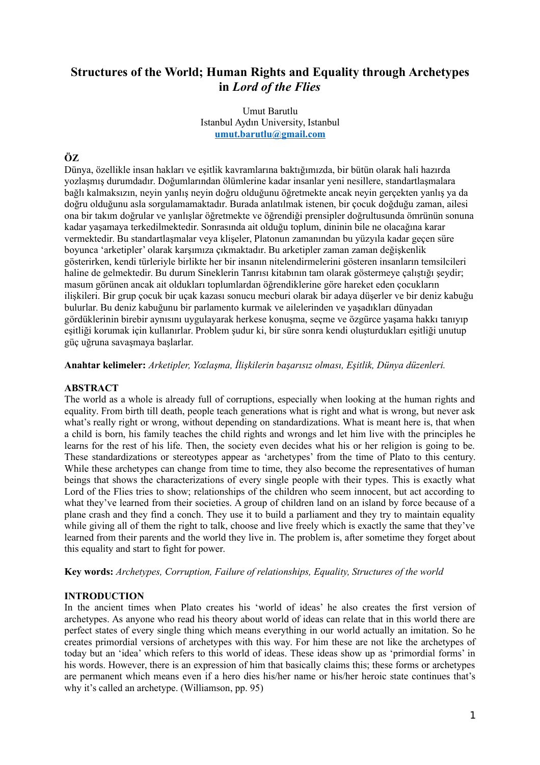# **Structures of the World; Human Rights and Equality through Archetypes in** *Lord of the Flies*

Umut Barutlu Istanbul Aydın University, Istanbul **[umut.barutlu@gmail.com](mailto:umut.barutlu@gmail.com)**

# **ÖZ**

Dünya, özellikle insan hakları ve eşitlik kavramlarına baktığımızda, bir bütün olarak hali hazırda yozlaşmış durumdadır. Doğumlarından ölümlerine kadar insanlar yeni nesillere, standartlaşmalara bağlı kalmaksızın, neyin yanlış neyin doğru olduğunu öğretmekte ancak neyin gerçekten yanlış ya da doğru olduğunu asla sorgulamamaktadır. Burada anlatılmak istenen, bir çocuk doğduğu zaman, ailesi ona bir takım doğrular ve yanlışlar öğretmekte ve öğrendiği prensipler doğrultusunda ömrünün sonuna kadar yaşamaya terkedilmektedir. Sonrasında ait olduğu toplum, dininin bile ne olacağına karar vermektedir. Bu standartlaşmalar veya klişeler, Platonun zamanından bu yüzyıla kadar geçen süre boyunca 'arketipler' olarak karşımıza çıkmaktadır. Bu arketipler zaman zaman değişkenlik gösterirken, kendi türleriyle birlikte her bir insanın nitelendirmelerini gösteren insanların temsilcileri haline de gelmektedir. Bu durum Sineklerin Tanrısı kitabının tam olarak göstermeye çalıştığı şeydir; masum görünen ancak ait oldukları toplumlardan öğrendiklerine göre hareket eden çocukların ilişkileri. Bir grup çocuk bir uçak kazası sonucu mecburi olarak bir adaya düşerler ve bir deniz kabuğu bulurlar. Bu deniz kabuğunu bir parlamento kurmak ve ailelerinden ve yaşadıkları dünyadan gördüklerinin birebir aynısını uygulayarak herkese konuşma, seçme ve özgürce yaşama hakkı tanıyıp eşitliği korumak için kullanırlar. Problem şudur ki, bir süre sonra kendi oluşturdukları eşitliği unutup güç uğruna savaşmaya başlarlar.

**Anahtar kelimeler:** *Arketipler, Yozlaşma, İlişkilerin başarısız olması, Eşitlik, Dünya düzenleri.*

#### **ABSTRACT**

The world as a whole is already full of corruptions, especially when looking at the human rights and equality. From birth till death, people teach generations what is right and what is wrong, but never ask what's really right or wrong, without depending on standardizations. What is meant here is, that when a child is born, his family teaches the child rights and wrongs and let him live with the principles he learns for the rest of his life. Then, the society even decides what his or her religion is going to be. These standardizations or stereotypes appear as 'archetypes' from the time of Plato to this century. While these archetypes can change from time to time, they also become the representatives of human beings that shows the characterizations of every single people with their types. This is exactly what Lord of the Flies tries to show; relationships of the children who seem innocent, but act according to what they've learned from their societies. A group of children land on an island by force because of a plane crash and they find a conch. They use it to build a parliament and they try to maintain equality while giving all of them the right to talk, choose and live freely which is exactly the same that they've learned from their parents and the world they live in. The problem is, after sometime they forget about this equality and start to fight for power.

**Key words:** *Archetypes, Corruption, Failure of relationships, Equality, Structures of the world*

## **INTRODUCTION**

In the ancient times when Plato creates his 'world of ideas' he also creates the first version of archetypes. As anyone who read his theory about world of ideas can relate that in this world there are perfect states of every single thing which means everything in our world actually an imitation. So he creates primordial versions of archetypes with this way. For him these are not like the archetypes of today but an 'idea' which refers to this world of ideas. These ideas show up as 'primordial forms' in his words. However, there is an expression of him that basically claims this; these forms or archetypes are permanent which means even if a hero dies his/her name or his/her heroic state continues that's why it's called an archetype. (Williamson, pp. 95)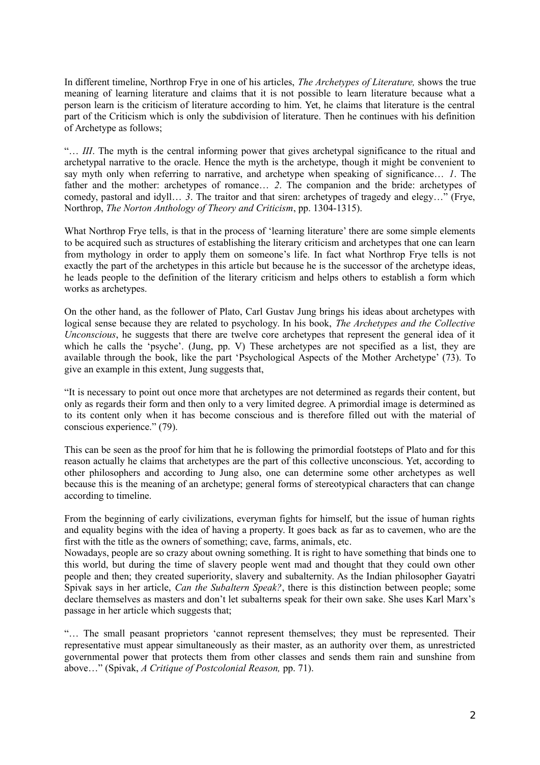In different timeline, Northrop Frye in one of his articles, *The Archetypes of Literature,* shows the true meaning of learning literature and claims that it is not possible to learn literature because what a person learn is the criticism of literature according to him. Yet, he claims that literature is the central part of the Criticism which is only the subdivision of literature. Then he continues with his definition of Archetype as follows;

"… *III*. The myth is the central informing power that gives archetypal significance to the ritual and archetypal narrative to the oracle. Hence the myth is the archetype, though it might be convenient to say myth only when referring to narrative, and archetype when speaking of significance… *1*. The father and the mother: archetypes of romance… *2*. The companion and the bride: archetypes of comedy, pastoral and idyll… *3*. The traitor and that siren: archetypes of tragedy and elegy…" (Frye, Northrop, *The Norton Anthology of Theory and Criticism*, pp. 1304-1315).

What Northrop Frye tells, is that in the process of 'learning literature' there are some simple elements to be acquired such as structures of establishing the literary criticism and archetypes that one can learn from mythology in order to apply them on someone's life. In fact what Northrop Frye tells is not exactly the part of the archetypes in this article but because he is the successor of the archetype ideas, he leads people to the definition of the literary criticism and helps others to establish a form which works as archetypes.

On the other hand, as the follower of Plato, Carl Gustav Jung brings his ideas about archetypes with logical sense because they are related to psychology. In his book, *The Archetypes and the Collective Unconscious*, he suggests that there are twelve core archetypes that represent the general idea of it which he calls the 'psyche'. (Jung, pp. V) These archetypes are not specified as a list, they are available through the book, like the part 'Psychological Aspects of the Mother Archetype' (73). To give an example in this extent, Jung suggests that,

"It is necessary to point out once more that archetypes are not determined as regards their content, but only as regards their form and then only to a very limited degree. A primordial image is determined as to its content only when it has become conscious and is therefore filled out with the material of conscious experience." (79).

This can be seen as the proof for him that he is following the primordial footsteps of Plato and for this reason actually he claims that archetypes are the part of this collective unconscious. Yet, according to other philosophers and according to Jung also, one can determine some other archetypes as well because this is the meaning of an archetype; general forms of stereotypical characters that can change according to timeline.

From the beginning of early civilizations, everyman fights for himself, but the issue of human rights and equality begins with the idea of having a property. It goes back as far as to cavemen, who are the first with the title as the owners of something; cave, farms, animals, etc.

Nowadays, people are so crazy about owning something. It is right to have something that binds one to this world, but during the time of slavery people went mad and thought that they could own other people and then; they created superiority, slavery and subalternity. As the Indian philosopher Gayatri Spivak says in her article, *Can the Subaltern Speak?*, there is this distinction between people; some declare themselves as masters and don't let subalterns speak for their own sake. She uses Karl Marx's passage in her article which suggests that;

"… The small peasant proprietors 'cannot represent themselves; they must be represented. Their representative must appear simultaneously as their master, as an authority over them, as unrestricted governmental power that protects them from other classes and sends them rain and sunshine from above…" (Spivak, *A Critique of Postcolonial Reason,* pp. 71).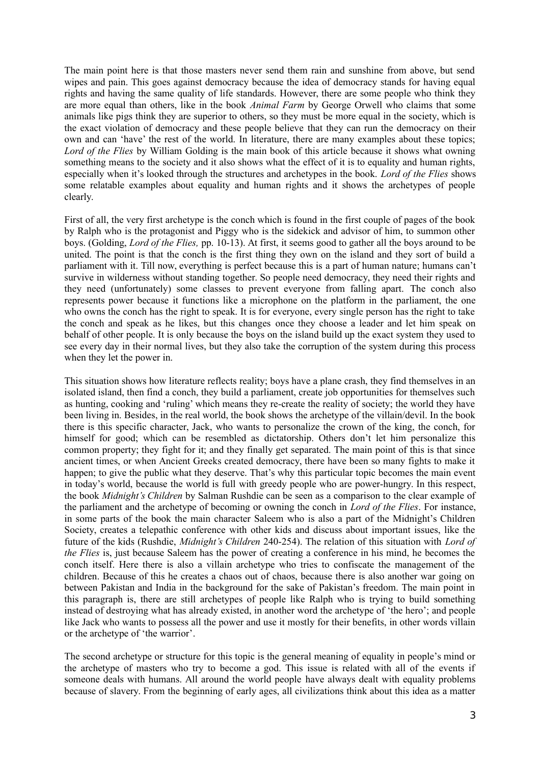The main point here is that those masters never send them rain and sunshine from above, but send wipes and pain. This goes against democracy because the idea of democracy stands for having equal rights and having the same quality of life standards. However, there are some people who think they are more equal than others, like in the book *Animal Farm* by George Orwell who claims that some animals like pigs think they are superior to others, so they must be more equal in the society, which is the exact violation of democracy and these people believe that they can run the democracy on their own and can 'have' the rest of the world. In literature, there are many examples about these topics; *Lord of the Flies* by William Golding is the main book of this article because it shows what owning something means to the society and it also shows what the effect of it is to equality and human rights, especially when it's looked through the structures and archetypes in the book. *Lord of the Flies* shows some relatable examples about equality and human rights and it shows the archetypes of people clearly.

First of all, the very first archetype is the conch which is found in the first couple of pages of the book by Ralph who is the protagonist and Piggy who is the sidekick and advisor of him, to summon other boys. (Golding, *Lord of the Flies,* pp. 10-13). At first, it seems good to gather all the boys around to be united. The point is that the conch is the first thing they own on the island and they sort of build a parliament with it. Till now, everything is perfect because this is a part of human nature; humans can't survive in wilderness without standing together. So people need democracy, they need their rights and they need (unfortunately) some classes to prevent everyone from falling apart. The conch also represents power because it functions like a microphone on the platform in the parliament, the one who owns the conch has the right to speak. It is for everyone, every single person has the right to take the conch and speak as he likes, but this changes once they choose a leader and let him speak on behalf of other people. It is only because the boys on the island build up the exact system they used to see every day in their normal lives, but they also take the corruption of the system during this process when they let the power in.

This situation shows how literature reflects reality; boys have a plane crash, they find themselves in an isolated island, then find a conch, they build a parliament, create job opportunities for themselves such as hunting, cooking and 'ruling' which means they re-create the reality of society; the world they have been living in. Besides, in the real world, the book shows the archetype of the villain/devil. In the book there is this specific character, Jack, who wants to personalize the crown of the king, the conch, for himself for good; which can be resembled as dictatorship. Others don't let him personalize this common property; they fight for it; and they finally get separated. The main point of this is that since ancient times, or when Ancient Greeks created democracy, there have been so many fights to make it happen; to give the public what they deserve. That's why this particular topic becomes the main event in today's world, because the world is full with greedy people who are power-hungry. In this respect, the book *Midnight's Children* by Salman Rushdie can be seen as a comparison to the clear example of the parliament and the archetype of becoming or owning the conch in *Lord of the Flies*. For instance, in some parts of the book the main character Saleem who is also a part of the Midnight's Children Society, creates a telepathic conference with other kids and discuss about important issues, like the future of the kids (Rushdie, *Midnight's Children* 240-254). The relation of this situation with *Lord of the Flies* is, just because Saleem has the power of creating a conference in his mind, he becomes the conch itself. Here there is also a villain archetype who tries to confiscate the management of the children. Because of this he creates a chaos out of chaos, because there is also another war going on between Pakistan and India in the background for the sake of Pakistan's freedom. The main point in this paragraph is, there are still archetypes of people like Ralph who is trying to build something instead of destroying what has already existed, in another word the archetype of 'the hero'; and people like Jack who wants to possess all the power and use it mostly for their benefits, in other words villain or the archetype of 'the warrior'.

The second archetype or structure for this topic is the general meaning of equality in people's mind or the archetype of masters who try to become a god. This issue is related with all of the events if someone deals with humans. All around the world people have always dealt with equality problems because of slavery. From the beginning of early ages, all civilizations think about this idea as a matter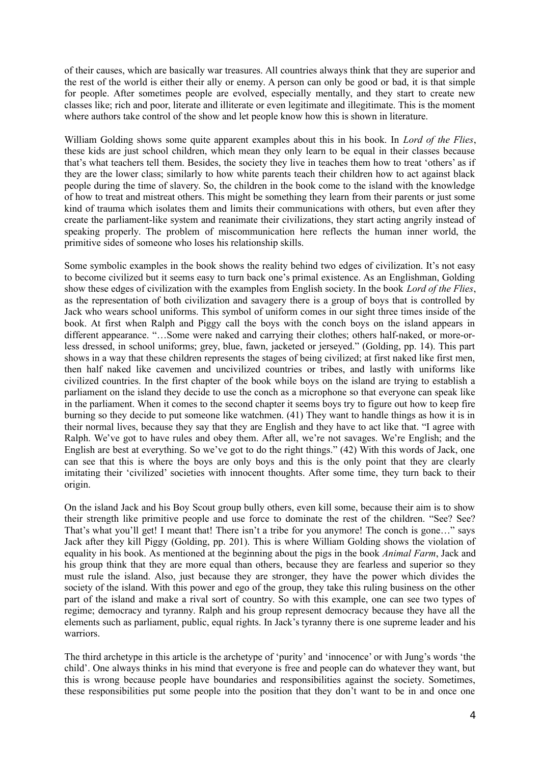of their causes, which are basically war treasures. All countries always think that they are superior and the rest of the world is either their ally or enemy. A person can only be good or bad, it is that simple for people. After sometimes people are evolved, especially mentally, and they start to create new classes like; rich and poor, literate and illiterate or even legitimate and illegitimate. This is the moment where authors take control of the show and let people know how this is shown in literature.

William Golding shows some quite apparent examples about this in his book. In *Lord of the Flies*, these kids are just school children, which mean they only learn to be equal in their classes because that's what teachers tell them. Besides, the society they live in teaches them how to treat 'others' as if they are the lower class; similarly to how white parents teach their children how to act against black people during the time of slavery. So, the children in the book come to the island with the knowledge of how to treat and mistreat others. This might be something they learn from their parents or just some kind of trauma which isolates them and limits their communications with others, but even after they create the parliament-like system and reanimate their civilizations, they start acting angrily instead of speaking properly. The problem of miscommunication here reflects the human inner world, the primitive sides of someone who loses his relationship skills.

Some symbolic examples in the book shows the reality behind two edges of civilization. It's not easy to become civilized but it seems easy to turn back one's primal existence. As an Englishman, Golding show these edges of civilization with the examples from English society. In the book *Lord of the Flies*, as the representation of both civilization and savagery there is a group of boys that is controlled by Jack who wears school uniforms. This symbol of uniform comes in our sight three times inside of the book. At first when Ralph and Piggy call the boys with the conch boys on the island appears in different appearance. "…Some were naked and carrying their clothes; others half-naked, or more-orless dressed, in school uniforms; grey, blue, fawn, jacketed or jerseyed." (Golding, pp. 14). This part shows in a way that these children represents the stages of being civilized; at first naked like first men, then half naked like cavemen and uncivilized countries or tribes, and lastly with uniforms like civilized countries. In the first chapter of the book while boys on the island are trying to establish a parliament on the island they decide to use the conch as a microphone so that everyone can speak like in the parliament. When it comes to the second chapter it seems boys try to figure out how to keep fire burning so they decide to put someone like watchmen. (41) They want to handle things as how it is in their normal lives, because they say that they are English and they have to act like that. "I agree with Ralph. We've got to have rules and obey them. After all, we're not savages. We're English; and the English are best at everything. So we've got to do the right things." (42) With this words of Jack, one can see that this is where the boys are only boys and this is the only point that they are clearly imitating their 'civilized' societies with innocent thoughts. After some time, they turn back to their origin.

On the island Jack and his Boy Scout group bully others, even kill some, because their aim is to show their strength like primitive people and use force to dominate the rest of the children. "See? See? That's what you'll get! I meant that! There isn't a tribe for you anymore! The conch is gone..." says Jack after they kill Piggy (Golding, pp. 201). This is where William Golding shows the violation of equality in his book. As mentioned at the beginning about the pigs in the book *Animal Farm*, Jack and his group think that they are more equal than others, because they are fearless and superior so they must rule the island. Also, just because they are stronger, they have the power which divides the society of the island. With this power and ego of the group, they take this ruling business on the other part of the island and make a rival sort of country. So with this example, one can see two types of regime; democracy and tyranny. Ralph and his group represent democracy because they have all the elements such as parliament, public, equal rights. In Jack's tyranny there is one supreme leader and his warriors.

The third archetype in this article is the archetype of 'purity' and 'innocence' or with Jung's words 'the child'. One always thinks in his mind that everyone is free and people can do whatever they want, but this is wrong because people have boundaries and responsibilities against the society. Sometimes, these responsibilities put some people into the position that they don't want to be in and once one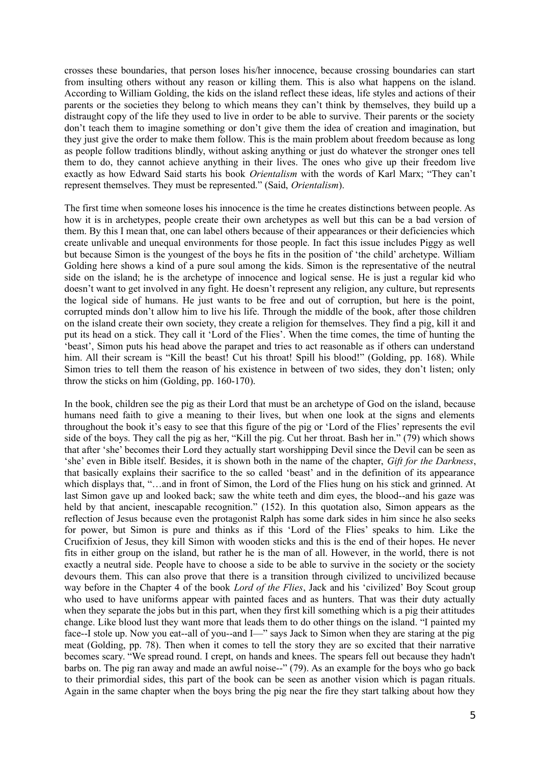crosses these boundaries, that person loses his/her innocence, because crossing boundaries can start from insulting others without any reason or killing them. This is also what happens on the island. According to William Golding, the kids on the island reflect these ideas, life styles and actions of their parents or the societies they belong to which means they can't think by themselves, they build up a distraught copy of the life they used to live in order to be able to survive. Their parents or the society don't teach them to imagine something or don't give them the idea of creation and imagination, but they just give the order to make them follow. This is the main problem about freedom because as long as people follow traditions blindly, without asking anything or just do whatever the stronger ones tell them to do, they cannot achieve anything in their lives. The ones who give up their freedom live exactly as how Edward Said starts his book *Orientalism* with the words of Karl Marx; "They can't represent themselves. They must be represented." (Said, *Orientalism*).

The first time when someone loses his innocence is the time he creates distinctions between people. As how it is in archetypes, people create their own archetypes as well but this can be a bad version of them. By this I mean that, one can label others because of their appearances or their deficiencies which create unlivable and unequal environments for those people. In fact this issue includes Piggy as well but because Simon is the youngest of the boys he fits in the position of 'the child' archetype. William Golding here shows a kind of a pure soul among the kids. Simon is the representative of the neutral side on the island; he is the archetype of innocence and logical sense. He is just a regular kid who doesn't want to get involved in any fight. He doesn't represent any religion, any culture, but represents the logical side of humans. He just wants to be free and out of corruption, but here is the point, corrupted minds don't allow him to live his life. Through the middle of the book, after those children on the island create their own society, they create a religion for themselves. They find a pig, kill it and put its head on a stick. They call it 'Lord of the Flies'. When the time comes, the time of hunting the 'beast', Simon puts his head above the parapet and tries to act reasonable as if others can understand him. All their scream is "Kill the beast! Cut his throat! Spill his blood!" (Golding, pp. 168). While Simon tries to tell them the reason of his existence in between of two sides, they don't listen; only throw the sticks on him (Golding, pp. 160-170).

In the book, children see the pig as their Lord that must be an archetype of God on the island, because humans need faith to give a meaning to their lives, but when one look at the signs and elements throughout the book it's easy to see that this figure of the pig or 'Lord of the Flies' represents the evil side of the boys. They call the pig as her, "Kill the pig. Cut her throat. Bash her in." (79) which shows that after 'she' becomes their Lord they actually start worshipping Devil since the Devil can be seen as 'she' even in Bible itself. Besides, it is shown both in the name of the chapter, *Gift for the Darkness*, that basically explains their sacrifice to the so called 'beast' and in the definition of its appearance which displays that, "…and in front of Simon, the Lord of the Flies hung on his stick and grinned. At last Simon gave up and looked back; saw the white teeth and dim eyes, the blood--and his gaze was held by that ancient, inescapable recognition." (152). In this quotation also, Simon appears as the reflection of Jesus because even the protagonist Ralph has some dark sides in him since he also seeks for power, but Simon is pure and thinks as if this 'Lord of the Flies' speaks to him. Like the Crucifixion of Jesus, they kill Simon with wooden sticks and this is the end of their hopes. He never fits in either group on the island, but rather he is the man of all. However, in the world, there is not exactly a neutral side. People have to choose a side to be able to survive in the society or the society devours them. This can also prove that there is a transition through civilized to uncivilized because way before in the Chapter 4 of the book *Lord of the Flies*, Jack and his 'civilized' Boy Scout group who used to have uniforms appear with painted faces and as hunters. That was their duty actually when they separate the jobs but in this part, when they first kill something which is a pig their attitudes change. Like blood lust they want more that leads them to do other things on the island. "I painted my face--I stole up. Now you eat--all of you--and I—" says Jack to Simon when they are staring at the pig meat (Golding, pp. 78). Then when it comes to tell the story they are so excited that their narrative becomes scary. "We spread round. I crept, on hands and knees. The spears fell out because they hadn't barbs on. The pig ran away and made an awful noise--" (79). As an example for the boys who go back to their primordial sides, this part of the book can be seen as another vision which is pagan rituals. Again in the same chapter when the boys bring the pig near the fire they start talking about how they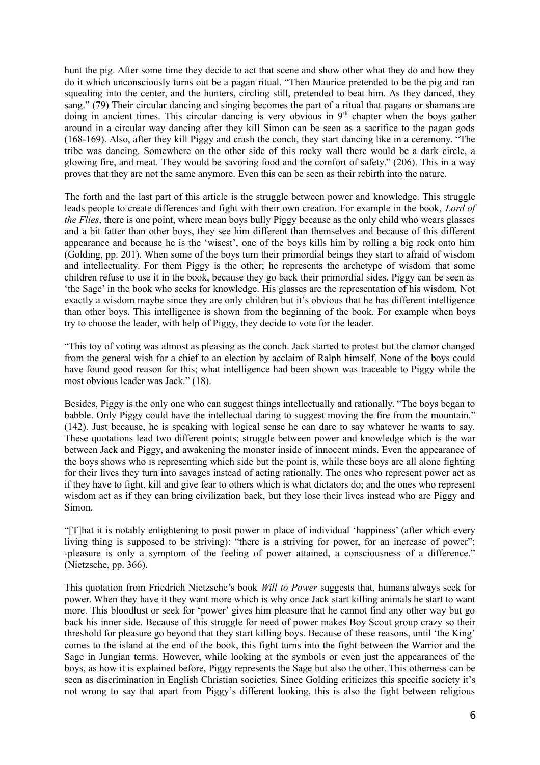hunt the pig. After some time they decide to act that scene and show other what they do and how they do it which unconsciously turns out be a pagan ritual. "Then Maurice pretended to be the pig and ran squealing into the center, and the hunters, circling still, pretended to beat him. As they danced, they sang." (79) Their circular dancing and singing becomes the part of a ritual that pagans or shamans are doing in ancient times. This circular dancing is very obvious in 9<sup>th</sup> chapter when the boys gather around in a circular way dancing after they kill Simon can be seen as a sacrifice to the pagan gods (168-169). Also, after they kill Piggy and crash the conch, they start dancing like in a ceremony. "The tribe was dancing. Somewhere on the other side of this rocky wall there would be a dark circle, a glowing fire, and meat. They would be savoring food and the comfort of safety." (206). This in a way proves that they are not the same anymore. Even this can be seen as their rebirth into the nature.

The forth and the last part of this article is the struggle between power and knowledge. This struggle leads people to create differences and fight with their own creation. For example in the book, *Lord of the Flies*, there is one point, where mean boys bully Piggy because as the only child who wears glasses and a bit fatter than other boys, they see him different than themselves and because of this different appearance and because he is the 'wisest', one of the boys kills him by rolling a big rock onto him (Golding, pp. 201). When some of the boys turn their primordial beings they start to afraid of wisdom and intellectuality. For them Piggy is the other; he represents the archetype of wisdom that some children refuse to use it in the book, because they go back their primordial sides. Piggy can be seen as 'the Sage' in the book who seeks for knowledge. His glasses are the representation of his wisdom. Not exactly a wisdom maybe since they are only children but it's obvious that he has different intelligence than other boys. This intelligence is shown from the beginning of the book. For example when boys try to choose the leader, with help of Piggy, they decide to vote for the leader.

"This toy of voting was almost as pleasing as the conch. Jack started to protest but the clamor changed from the general wish for a chief to an election by acclaim of Ralph himself. None of the boys could have found good reason for this; what intelligence had been shown was traceable to Piggy while the most obvious leader was Jack." (18).

Besides, Piggy is the only one who can suggest things intellectually and rationally. "The boys began to babble. Only Piggy could have the intellectual daring to suggest moving the fire from the mountain." (142). Just because, he is speaking with logical sense he can dare to say whatever he wants to say. These quotations lead two different points; struggle between power and knowledge which is the war between Jack and Piggy, and awakening the monster inside of innocent minds. Even the appearance of the boys shows who is representing which side but the point is, while these boys are all alone fighting for their lives they turn into savages instead of acting rationally. The ones who represent power act as if they have to fight, kill and give fear to others which is what dictators do; and the ones who represent wisdom act as if they can bring civilization back, but they lose their lives instead who are Piggy and Simon.

"[T]hat it is notably enlightening to posit power in place of individual 'happiness' (after which every living thing is supposed to be striving): "there is a striving for power, for an increase of power"; -pleasure is only a symptom of the feeling of power attained, a consciousness of a difference." (Nietzsche, pp. 366).

This quotation from Friedrich Nietzsche's book *Will to Power* suggests that, humans always seek for power. When they have it they want more which is why once Jack start killing animals he start to want more. This bloodlust or seek for 'power' gives him pleasure that he cannot find any other way but go back his inner side. Because of this struggle for need of power makes Boy Scout group crazy so their threshold for pleasure go beyond that they start killing boys. Because of these reasons, until 'the King' comes to the island at the end of the book, this fight turns into the fight between the Warrior and the Sage in Jungian terms. However, while looking at the symbols or even just the appearances of the boys, as how it is explained before, Piggy represents the Sage but also the other. This otherness can be seen as discrimination in English Christian societies. Since Golding criticizes this specific society it's not wrong to say that apart from Piggy's different looking, this is also the fight between religious